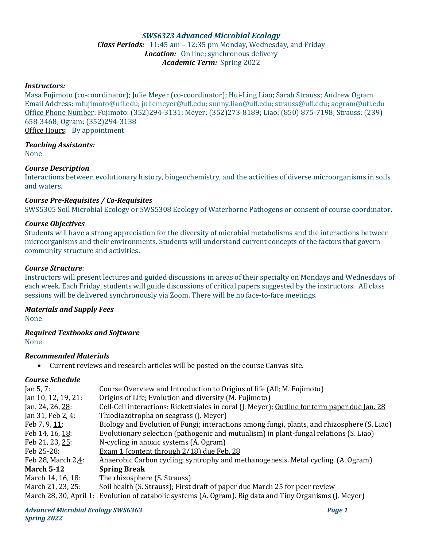# *SWS6323 Advanced Microbial Ecology Class Periods:* 11:45 am – 12:35 pm Monday, Wednesday, and Friday *Location:* On line; synchronous delivery *Academic Term:* Spring 2022

## *Instructors:*

Masa Fujimoto (co-coordinator); Julie Meyer (co-coordinator); Hui-Ling Liao; Sarah Strauss; Andrew Ogram Email Address: [mfujimoto@ufl.edu;](mailto:mfujimoto@ufl.edu) [juliemeyer@ufl.edu;](mailto:juliemeyer@ufl.edu) [sunny.liao@ufl.edu;](mailto:sunny.liao@ufl.edu) [strauss@ufl.edu;](mailto:strauss@ufl.edu) [aogram@ufl.edu](mailto:aogram@ufl.edu) Office Phone Number: Fujimoto: (352)294-3131; Meyer: (352)273-8189; Liao: (850) 875-7198; Strauss: (239) 658-3468; Ogram: (352)294-3138 Office Hours: By appointment

## *Teaching Assistants:*

None

## *Course Description*

Interactions between evolutionary history, biogeochemistry, and the activities of diverse microorganisms in soils and waters.

#### *Course Pre-Requisites / Co-Requisites*

SWS5305 Soil Microbial Ecology or SWS5308 Ecology of Waterborne Pathogens or consent of course coordinator.

#### *Course Objectives*

Students will have a strong appreciation for the diversity of microbial metabolisms and the interactions between microorganisms and their environments. Students will understand current concepts of the factors that govern community structure and activities.

#### *Course Structure*:

Instructors will present lectures and guided discussions in areas of their specialty on Mondays and Wednesdays of each week. Each Friday, students will guide discussions of critical papers suggested by the instructors. All class sessions will be delivered synchronously via Zoom. There will be no face-to-face meetings.

## *Materials and Supply Fees*

None

# *Required Textbooks and Software*

None

## *Recommended Materials*

• Current reviews and research articles will be posted on the course Canvas site.

## *Course Schedule*

| Jan 5, 7:              | Course Overview and Introduction to Origins of life (All; M. Fujimoto)                        |
|------------------------|-----------------------------------------------------------------------------------------------|
| Jan 10, 12, 19, 21:    | Origins of Life; Evolution and diversity (M. Fujimoto)                                        |
| Jan. 24, 26, 28:       | Cell-Cell interactions: Rickettsiales in coral (J. Meyer); Outline for term paper due Jan. 28 |
| Jan 31, Feb 2, 4:      | Thiodiazotropha on seagrass (J. Meyer)                                                        |
| Feb 7, 9, $11$ :       | Biology and Evolution of Fungi; interactions among fungi, plants, and rhizosphere (S. Liao)   |
| Feb 14, 16, 18:        | Evolutionary selection (pathogenic and mutualism) in plant-fungal relations (S. Liao)         |
| Feb 21, 23, 25:        | N-cycling in anoxic systems (A. Ogram)                                                        |
| Feb 25-28:             | Exam 1 (content through 2/18) due Feb. 28                                                     |
| Feb 28, March 2,4:     | Anaerobic Carbon cycling; syntrophy and methanogenesis. Metal cycling. (A. Ogram)             |
| <b>March 5-12</b>      | <b>Spring Break</b>                                                                           |
| March 14, 16, 18:      | The rhizosphere (S. Strauss)                                                                  |
| March 21, 23, 25:      | Soil health (S. Strauss); First draft of paper due March 25 for peer review                   |
| March 28, 30, April 1: | Evolution of catabolic systems (A. Ogram). Big data and Tiny Organisms (J. Meyer)             |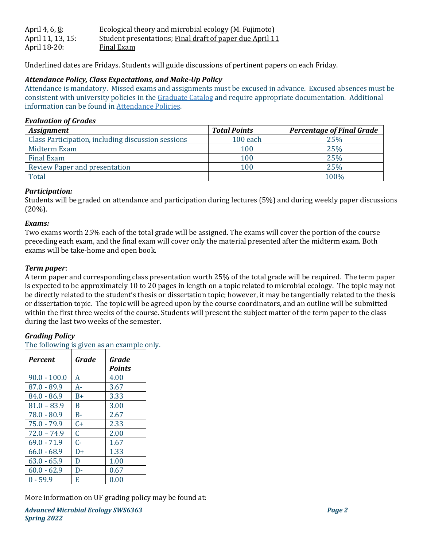| April 4, 6, <u>8</u> : | Ecological theory and microbial ecology (M. Fujimoto)    |
|------------------------|----------------------------------------------------------|
| April 11, 13, 15:      | Student presentations; Final draft of paper due April 11 |
| April 18-20:           | Final Exam                                               |

Underlined dates are Fridays. Students will guide discussions of pertinent papers on each Friday.

# *Attendance Policy, Class Expectations, and Make-Up Policy*

Attendance is mandatory. Missed exams and assignments must be excused in advance. Excused absences must be consistent with university policies in the Graduate Catalog and require appropriate documentation. Additional information can be found in Attendance Policies.

## *Evaluation of Grades*

| <b>Assignment</b>                                  | <b>Total Points</b> | <b>Percentage of Final Grade</b> |
|----------------------------------------------------|---------------------|----------------------------------|
| Class Participation, including discussion sessions | 100 each            | 25%                              |
| Midterm Exam                                       | 100                 | 25%                              |
| Final Exam                                         | 100                 | 25%                              |
| <b>Review Paper and presentation</b>               | 100                 | 25%                              |
| Total                                              |                     | 100%                             |

# *Participation:*

Students will be graded on attendance and participation during lectures (5%) and during weekly paper discussions (20%).

## *Exams:*

Two exams worth 25% each of the total grade will be assigned. The exams will cover the portion of the course preceding each exam, and the final exam will cover only the material presented after the midterm exam. Both exams will be take-home and open book.

# *Term paper*:

A term paper and corresponding class presentation worth 25% of the total grade will be required. The term paper is expected to be approximately 10 to 20 pages in length on a topic related to microbial ecology. The topic may not be directly related to the student's thesis or dissertation topic; however, it may be tangentially related to the thesis or dissertation topic. The topic will be agreed upon by the course coordinators, and an outline will be submitted within the first three weeks of the course. Students will present the subject matter of the term paper to the class during the last two weeks of the semester.

# *Grading Policy*

The following is given as an example only.

| <b>Percent</b> | Grade | Grade<br><b>Points</b> |
|----------------|-------|------------------------|
|                |       |                        |
| $90.0 - 100.0$ | A     | 4.00                   |
| $87.0 - 89.9$  | $A-$  | 3.67                   |
| $84.0 - 86.9$  | B+    | 3.33                   |
| $81.0 - 83.9$  | R     | 3.00                   |
| 78.0 - 80.9    | $B -$ | 2.67                   |
| 75.0 - 79.9    | C+    | 2.33                   |
| $72.0 - 74.9$  | C     | 2.00                   |
| $69.0 - 71.9$  | C-    | 1.67                   |
| $66.0 - 68.9$  | D+    | 1.33                   |
| $63.0 - 65.9$  | D     | 1.00                   |
| $60.0 - 62.9$  | D-    | 0.67                   |
| $0 - 59.9$     | F.    | 0.00                   |

More information on UF grading policy may be found at: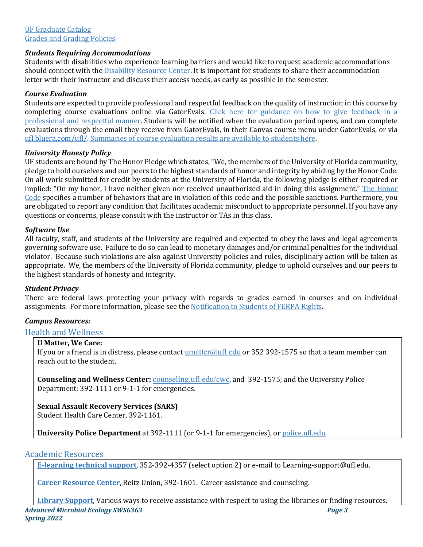## *Students Requiring Accommodations*

Students with disabilities who experience learning barriers and would like to request academic accommodations should connect with the Disability Resource Center. It is important for students to share their accommodation letter with their instructor and discuss their access needs, as early as possible in the semester.

## *Course Evaluation*

Students are expected to provide professional and respectful feedback on the quality of instruction in this course by completing course evaluations online via GatorEvals. Click here for guidance on how to give feedback in a professional and respectful manner. Students will be notified when the evaluation period opens, and can complete evaluations through the email they receive from GatorEvals, in their Canvas course menu under GatorEvals, or via ufl.bluera.com/ufl/. Summaries of course evaluation results are available to students here.

## *University Honesty Policy*

UF students are bound by The Honor Pledge which states, "We, the members of the University of Florida community, pledge to hold ourselves and our peers to the highest standards of honor and integrity by abiding by the Honor Code. On all work submitted for credit by students at the University of Florida, the following pledge is either required or implied: "On my honor, I have neither given nor received unauthorized aid in doing this assignment." The Honor Code specifies a number of behaviors that are in violation of this code and the possible sanctions. Furthermore, you are obligated to report any condition that facilitates academic misconduct to appropriate personnel. If you have any questions or concerns, please consult with the instructor or TAs in this class.

## *Software Use*

All faculty, staff, and students of the University are required and expected to obey the laws and legal agreements governing software use. Failure to do so can lead to monetary damages and/or criminal penalties for the individual violator. Because such violations are also against University policies and rules, disciplinary action will be taken as appropriate. We, the members of the University of Florida community, pledge to uphold ourselves and our peers to the highest standards of honesty and integrity.

## *Student Privacy*

There are federal laws protecting your privacy with regards to grades earned in courses and on individual assignments. For more information, please see the Notification to Students of FERPA Rights.

# *Campus Resources:*

# Health and Wellness

## **U Matter, We Care:**

If you or a friend is in distress, please contact  $\frac{umatter(Qufl.edu)}{uclud}$  or 352 392-1575 so that a team member can reach out to the student.

**Counseling and Wellness Center:** counseling.ufl.edu/cwc, and 392-1575; and the University Police Department: 392-1111 or 9-1-1 for emergencies.

**Sexual Assault Recovery Services (SARS)** 

Student Health Care Center, 392-1161.

**University Police Department** at 392-1111 (or 9-1-1 for emergencies), or police.ufl.edu.

## Academic Resources

**E-learning technical support**, 352-392-4357 (select option 2) or e-mail to Learning-support@ufl.edu.

**Career Resource Center**, Reitz Union, 392-1601. Career assistance and counseling.

*Advanced Microbial Ecology SWS6363 Page 3 Spring 2022* **Library Support**, Various ways to receive assistance with respect to using the libraries or finding resources.